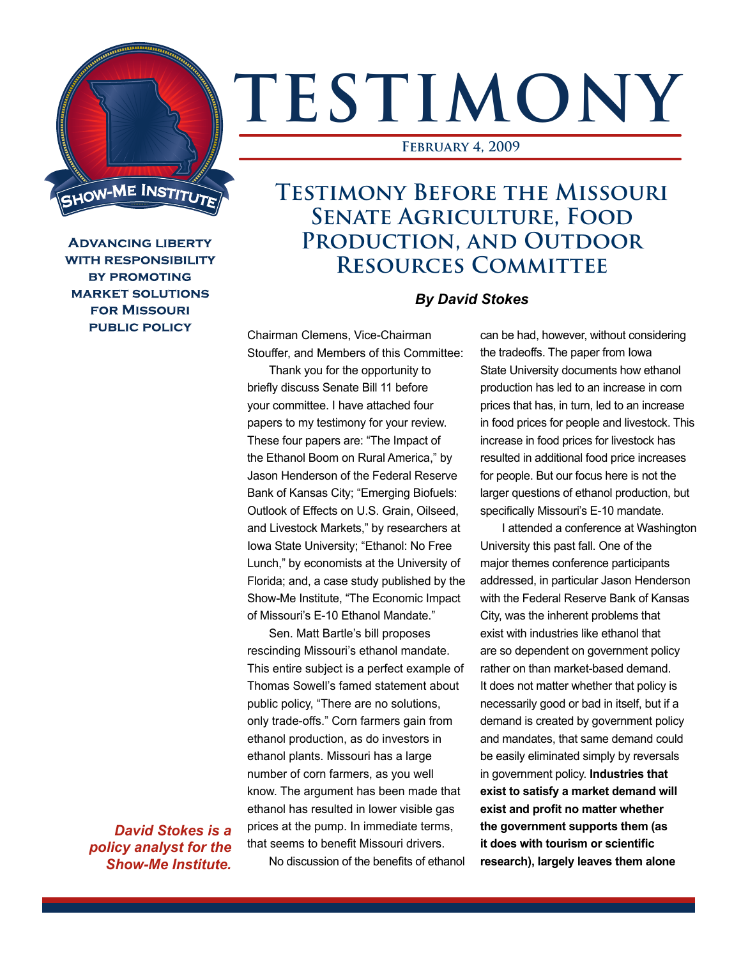## **TESTIMONY**

**February 4, 2009**

## **Testimony Before the Missouri Senate Agriculture, Food**  PRODUCTION, AND OUTDOOR **Resources Committee**

## *By David Stokes*

Chairman Clemens, Vice-Chairman Stouffer, and Members of this Committee:

Thank you for the opportunity to briefly discuss Senate Bill 11 before your committee. I have attached four papers to my testimony for your review. These four papers are: "The Impact of the Ethanol Boom on Rural America," by Jason Henderson of the Federal Reserve Bank of Kansas City; "Emerging Biofuels: Outlook of Effects on U.S. Grain, Oilseed, and Livestock Markets," by researchers at Iowa State University; "Ethanol: No Free Lunch," by economists at the University of Florida; and, a case study published by the Show-Me Institute, "The Economic Impact of Missouri's E-10 Ethanol Mandate."

Sen. Matt Bartle's bill proposes rescinding Missouri's ethanol mandate. This entire subject is a perfect example of Thomas Sowell's famed statement about public policy, "There are no solutions, only trade-offs." Corn farmers gain from ethanol production, as do investors in ethanol plants. Missouri has a large number of corn farmers, as you well know. The argument has been made that ethanol has resulted in lower visible gas prices at the pump. In immediate terms, that seems to benefit Missouri drivers.

*David Stokes is a policy analyst for the Show-Me Institute.*

**HOW-ME INSTITUT** 

**ADVANCING LIBERTY WITH RESPONSIBILITY BY PROMOTING MARKET SOLUTIONS FOR MISSOURI PUBLIC POLICY** 

No discussion of the benefits of ethanol

can be had, however, without considering the tradeoffs. The paper from Iowa State University documents how ethanol production has led to an increase in corn prices that has, in turn, led to an increase in food prices for people and livestock. This increase in food prices for livestock has resulted in additional food price increases for people. But our focus here is not the larger questions of ethanol production, but specifically Missouri's E-10 mandate.

I attended a conference at Washington University this past fall. One of the major themes conference participants addressed, in particular Jason Henderson with the Federal Reserve Bank of Kansas City, was the inherent problems that exist with industries like ethanol that are so dependent on government policy rather on than market-based demand. It does not matter whether that policy is necessarily good or bad in itself, but if a demand is created by government policy and mandates, that same demand could be easily eliminated simply by reversals in government policy. **Industries that exist to satisfy a market demand will exist and profit no matter whether the government supports them (as it does with tourism or scientific research), largely leaves them alone**